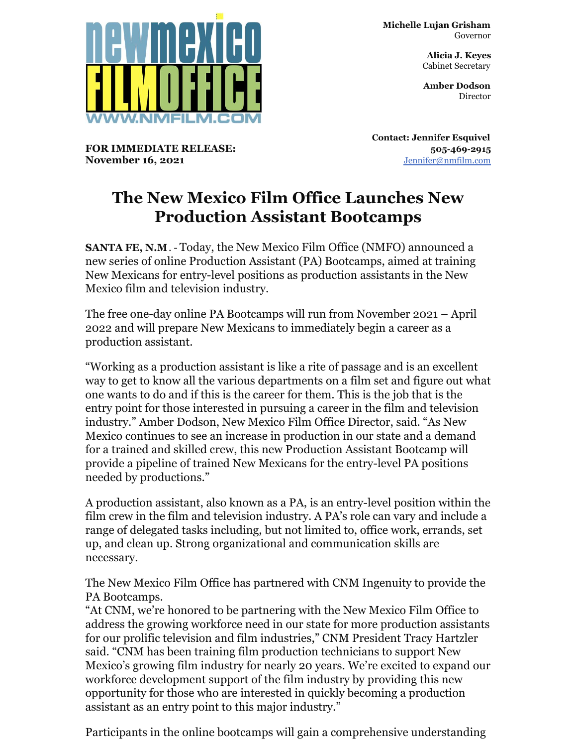

**FOR IMMEDIATE RELEASE:**

**November 16, 2021**

**Michelle Lujan Grisham** Governor

> **Alicia J. Keyes** Cabinet Secretary

> **Amber Dodson Director**

**Contact: Jennifer Esquivel 505-469-2915** [Jennifer@nmfilm.com](mailto:jennifer@nmfilm.com)

## **The New Mexico Film Office Launches New Production Assistant Bootcamps**

**SANTA FE, N.M**. - Today, the New Mexico Film Office (NMFO) announced a new series of online Production Assistant (PA) Bootcamps, aimed at training New Mexicans for entry-level positions as production assistants in the New Mexico film and television industry.

The free one-day online PA Bootcamps will run from November 2021 – April 2022 and will prepare New Mexicans to immediately begin a career as a production assistant.

"Working as a production assistant is like a rite of passage and is an excellent way to get to know all the various departments on a film set and figure out what one wants to do and if this is the career for them. This is the job that is the entry point for those interested in pursuing a career in the film and television industry." Amber Dodson, New Mexico Film Office Director, said. "As New Mexico continues to see an increase in production in our state and a demand for a trained and skilled crew, this new Production Assistant Bootcamp will provide a pipeline of trained New Mexicans for the entry-level PA positions needed by productions."

A production assistant, also known as a PA, is an entry-level position within the film crew in the film and television industry. A PA's role can vary and include a range of delegated tasks including, but not limited to, office work, errands, set up, and clean up. Strong organizational and communication skills are necessary.

The New Mexico Film Office has partnered with CNM Ingenuity to provide the PA Bootcamps.

"At CNM, we're honored to be partnering with the New Mexico Film Office to address the growing workforce need in our state for more production assistants for our prolific television and film industries," CNM President Tracy Hartzler said. "CNM has been training film production technicians to support New Mexico's growing film industry for nearly 20 years. We're excited to expand our workforce development support of the film industry by providing this new opportunity for those who are interested in quickly becoming a production assistant as an entry point to this major industry."

Participants in the online bootcamps will gain a comprehensive understanding